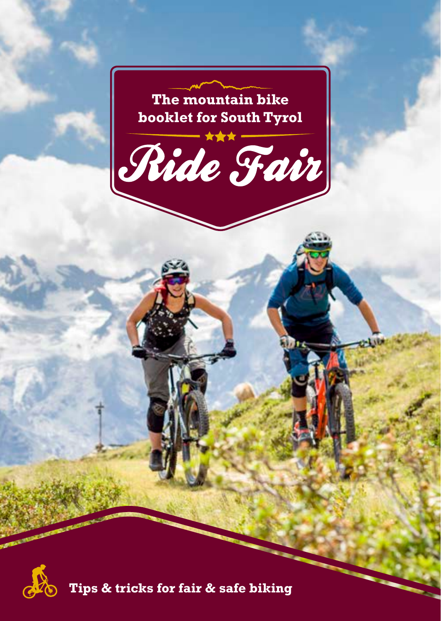



**Tips & tricks for fair & safe biking**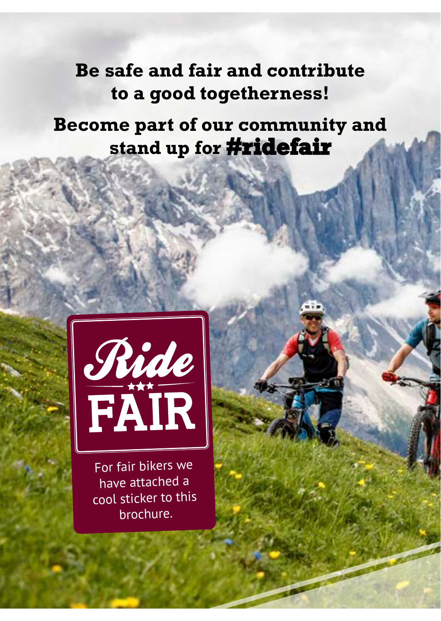# **Be safe and fair and contribute to a good togetherness!**

**Become part of our community and stand up for #ridefair**



For fair bikers we have attached a cool sticker to this brochure.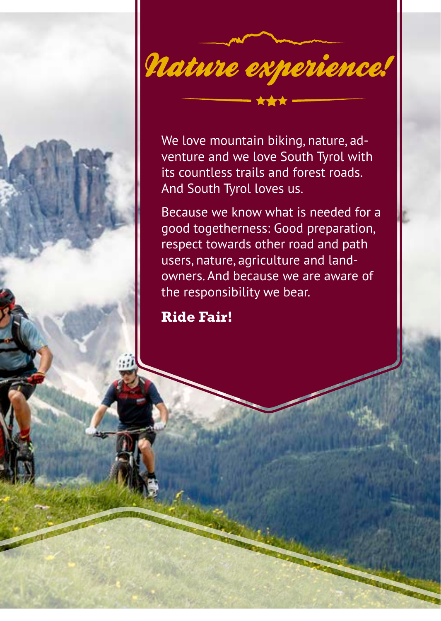



We love mountain biking, nature, adventure and we love South Tyrol with its countless trails and forest roads. And South Tyrol loves us.

Because we know what is needed for a good togetherness: Good preparation, respect towards other road and path users, nature, agriculture and landowners. And because we are aware of the responsibility we bear.

**Ride Fair!**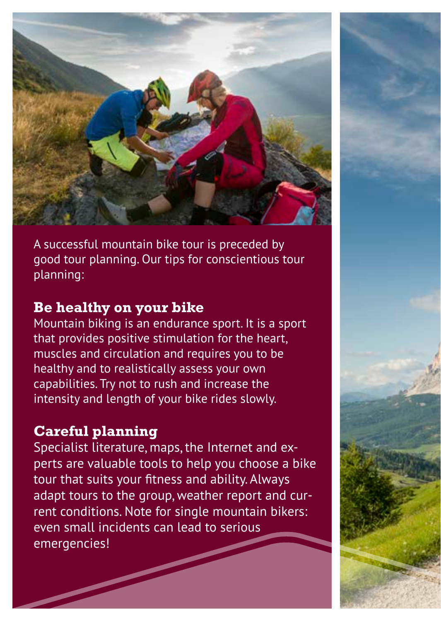

A successful mountain bike tour is preceded by good tour planning. Our tips for conscientious tour planning:

#### **Be healthy on your bike**

Mountain biking is an endurance sport. It is a sport that provides positive stimulation for the heart, muscles and circulation and requires you to be healthy and to realistically assess your own capabilities. Try not to rush and increase the intensity and length of your bike rides slowly.

### **Careful planning**

Specialist literature, maps, the Internet and experts are valuable tools to help you choose a bike tour that suits your fitness and ability. Always adapt tours to the group, weather report and current conditions. Note for single mountain bikers: even small incidents can lead to serious emergencies!

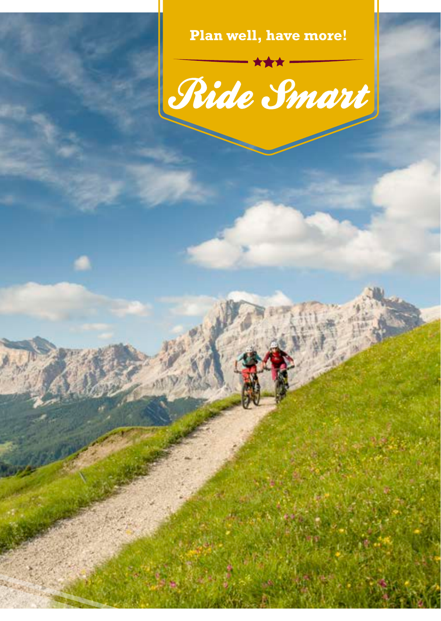**Plan well, have more!**

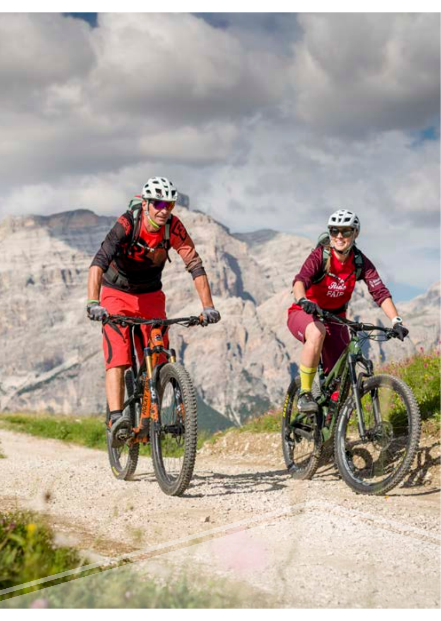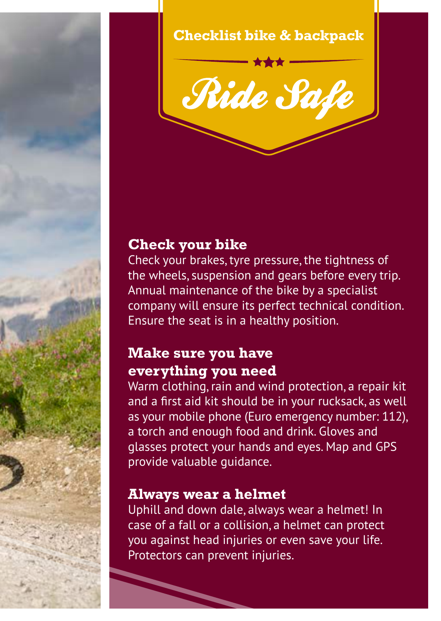



#### **Check your bike**

Check your brakes, tyre pressure, the tightness of the wheels, suspension and gears before every trip. Annual maintenance of the bike by a specialist company will ensure its perfect technical condition. Ensure the seat is in a healthy position.

#### **Make sure you have everything you need**

Warm clothing, rain and wind protection, a repair kit and a first aid kit should be in your rucksack, as well as your mobile phone (Euro emergency number: 112), a torch and enough food and drink. Gloves and glasses protect your hands and eyes. Map and GPS provide valuable guidance.

#### **Always wear a helmet**

Uphill and down dale, always wear a helmet! In case of a fall or a collision, a helmet can protect you against head injuries or even save your life. Protectors can prevent injuries.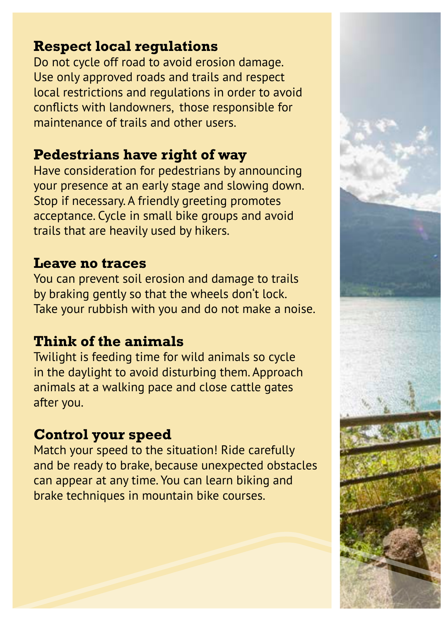## **Respect local regulations**

Do not cycle off road to avoid erosion damage. Use only approved roads and trails and respect local restrictions and regulations in order to avoid conflicts with landowners, those responsible for maintenance of trails and other users.

### **Pedestrians have right of way**

Have consideration for pedestrians by announcing your presence at an early stage and slowing down. Stop if necessary. A friendly greeting promotes acceptance. Cycle in small bike groups and avoid trails that are heavily used by hikers.

#### **Leave no traces**

You can prevent soil erosion and damage to trails by braking gently so that the wheels don't lock. Take your rubbish with you and do not make a noise.

# **Think of the animals**

Twilight is feeding time for wild animals so cycle in the daylight to avoid disturbing them. Approach animals at a walking pace and close cattle gates after you.

# **Control your speed**

Match your speed to the situation! Ride carefully and be ready to brake, because unexpected obstacles can appear at any time. You can learn biking and brake techniques in mountain bike courses.

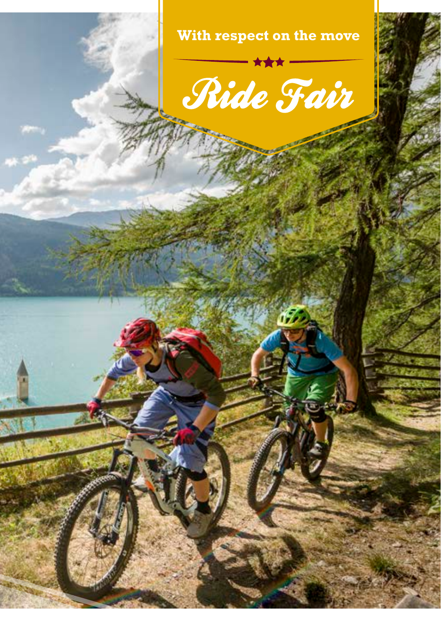



M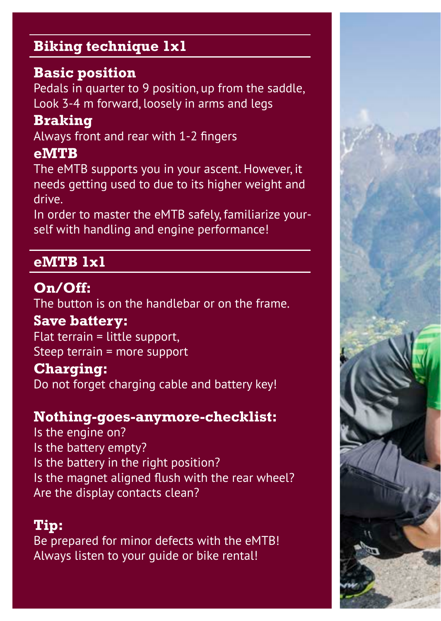## **Biking technique 1x1**

### **Basic position**

Pedals in quarter to 9 position, up from the saddle. Look 3-4 m forward, loosely in arms and legs

## **Braking**

Always front and rear with 1-2 fingers

#### **eMTB**

The eMTB supports you in your ascent. However, it needs getting used to due to its higher weight and drive.

In order to master the eMTB safely, familiarize yourself with handling and engine performance!

# **eMTB 1x1**

# **On/Off:**

The button is on the handlebar or on the frame.

#### **Save battery:**

Flat terrain = little support, Steep terrain = more support

#### **Charging:**

Do not forget charging cable and battery key!

#### **Nothing-goes-anymore-checklist:**

Is the engine on? Is the battery empty? Is the battery in the right position? Is the magnet aligned flush with the rear wheel? Are the display contacts clean?

# **Tip:**

Be prepared for minor defects with the eMTB! Always listen to your guide or bike rental!

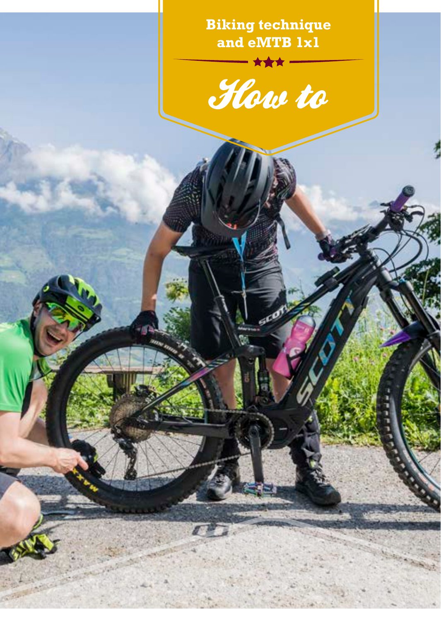**Biking technique** and eMTB 1x1 \*\*\*